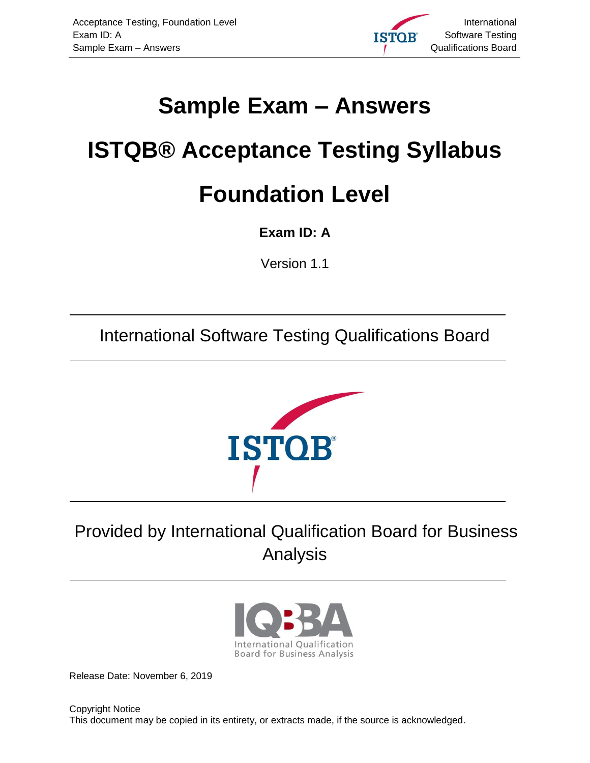<span id="page-0-8"></span><span id="page-0-7"></span>

## <span id="page-0-6"></span><span id="page-0-5"></span><span id="page-0-0"></span>**Sample Exam – Answers**

# <span id="page-0-1"></span>**ISTQB® Acceptance Testing Syllabus Foundation Level**

<span id="page-0-2"></span>**Exam ID: A**

<span id="page-0-3"></span>Version 1.1

International Software Testing Qualifications Board



## <span id="page-0-9"></span>Provided by International Qualification Board for Business Analysis



<span id="page-0-4"></span>Release Date: November 6, 2019

Copyright Notice This document may be copied in its entirety, or extracts made, if the source is acknowledged.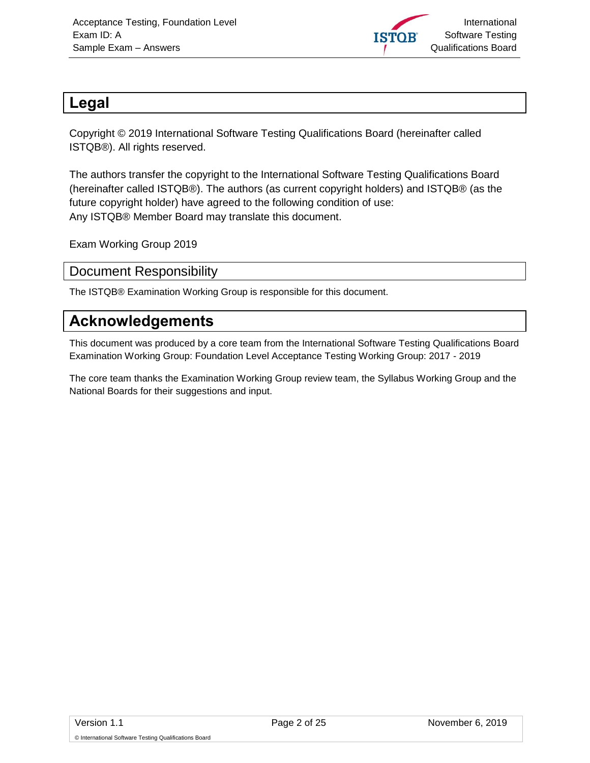

#### <span id="page-1-0"></span>**Legal**

Copyright © 2019 International Software Testing Qualifications Board (hereinafter called ISTQB®). All rights reserved.

The authors transfer the copyright to the International Software Testing Qualifications Board (hereinafter called ISTQB®). The authors (as current copyright holders) and ISTQB® (as the future copyright holder) have agreed to the following condition of use: Any ISTQB® Member Board may translate this document.

Exam Working Group 2019

#### <span id="page-1-1"></span>Document Responsibility

The ISTQB® Examination Working Group is responsible for this document.

#### <span id="page-1-2"></span>**Acknowledgements**

This document was produced by a core team from the International Software Testing Qualifications Board Examination Working Group: Foundation Level Acceptance Testing Working Group: 2017 - 2019

The core team thanks the Examination Working Group review team, the Syllabus Working Group and the National Boards for their suggestions and input.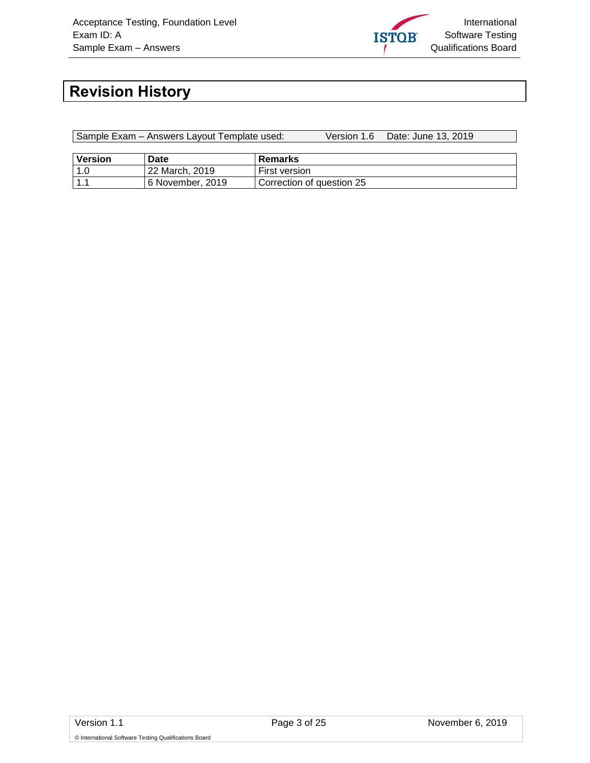

## <span id="page-2-0"></span>**Revision History**

Sample Exam – Answers Layout Template used: Version 1.6 Date: June 13, 2019

| <b>Version</b> | Date             | Remarks                   |
|----------------|------------------|---------------------------|
| 1.0            | 22 March, 2019   | First version             |
| $\vert$ 1.1    | 6 November, 2019 | Correction of auestion 25 |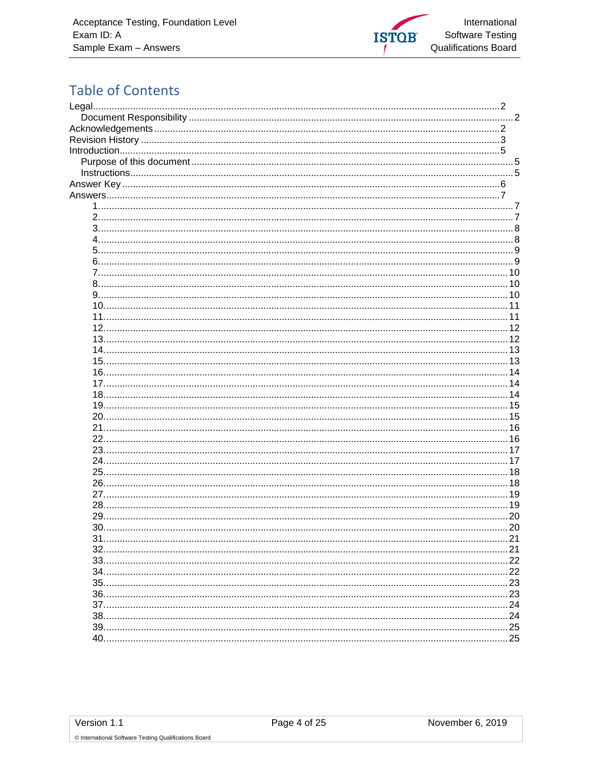

#### **Table of Contents**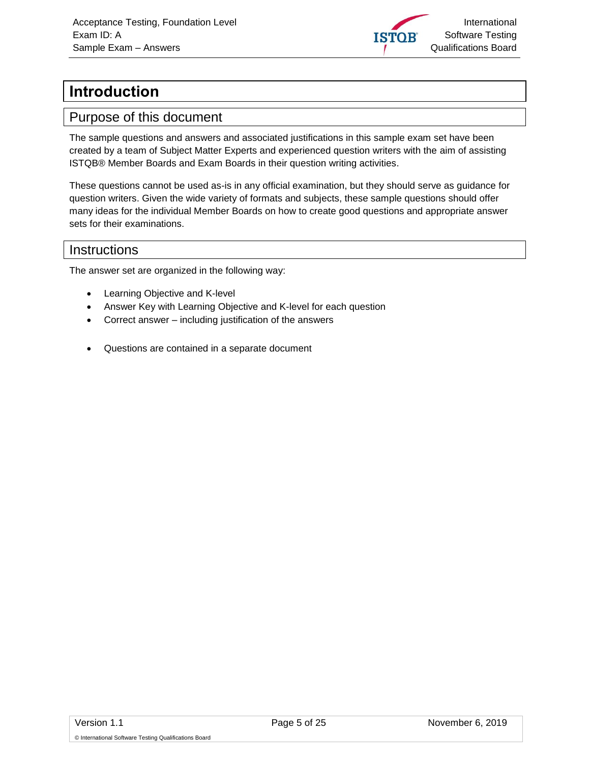

## <span id="page-4-0"></span>**Introduction**

#### <span id="page-4-1"></span>Purpose of this document

The sample questions and answers and associated justifications in this sample exam set have been created by a team of Subject Matter Experts and experienced question writers with the aim of assisting ISTQB® Member Boards and Exam Boards in their question writing activities.

These questions cannot be used as-is in any official examination, but they should serve as guidance for question writers. Given the wide variety of formats and subjects, these sample questions should offer many ideas for the individual Member Boards on how to create good questions and appropriate answer sets for their examinations.

#### <span id="page-4-2"></span>**Instructions**

The answer set are organized in the following way:

- Learning Objective and K-level
- Answer Key with Learning Objective and K-level for each question
- Correct answer including justification of the answers
- Questions are contained in a separate document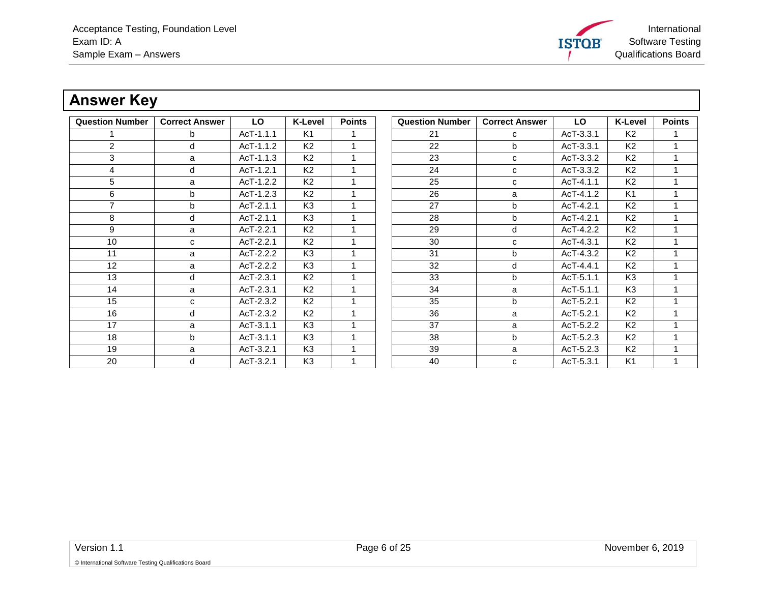International Software Testing **ISTOB** Qualifications Board

### **Answer Key**

<span id="page-5-0"></span>

| <b>Question Number</b> | <b>Correct Answer</b> | LO          | K-Level        | <b>Points</b> | <b>Question Number</b> | <b>Correct Answer</b> | <b>LO</b> | <b>K-Level</b> | <b>Points</b> |
|------------------------|-----------------------|-------------|----------------|---------------|------------------------|-----------------------|-----------|----------------|---------------|
|                        | b                     | AcT-1.1.1   | K1             |               | 21                     | C                     | AcT-3.3.1 | K <sub>2</sub> |               |
| $\overline{2}$         | d                     | AcT-1.1.2   | K <sub>2</sub> |               | 22                     | b                     | AcT-3.3.1 | K <sub>2</sub> |               |
| 3                      | a                     | AcT-1.1.3   | K <sub>2</sub> |               | 23                     | C                     | AcT-3.3.2 | K <sub>2</sub> |               |
| 4                      | d                     | $AcT-1.2.1$ | K <sub>2</sub> |               | 24                     | C                     | AcT-3.3.2 | K <sub>2</sub> |               |
| 5                      | a                     | AcT-1.2.2   | K <sub>2</sub> |               | 25                     | C                     | AcT-4.1.1 | K <sub>2</sub> |               |
| 6                      | b                     | AcT-1.2.3   | K <sub>2</sub> |               | 26                     | a                     | AcT-4.1.2 | K <sub>1</sub> |               |
| $\overline{7}$         | b                     | AcT-2.1.1   | K <sub>3</sub> |               | 27                     | b                     | AcT-4.2.1 | K <sub>2</sub> |               |
| 8                      | d                     | AcT-2.1.1   | K <sub>3</sub> |               | 28                     | b                     | AcT-4.2.1 | K <sub>2</sub> |               |
| 9                      | a                     | AcT-2.2.1   | K <sub>2</sub> | 1             | 29                     | d                     | AcT-4.2.2 | K <sub>2</sub> |               |
| 10                     | C                     | AcT-2.2.1   | K <sub>2</sub> |               | 30                     | C                     | AcT-4.3.1 | K <sub>2</sub> |               |
| 11                     | a                     | AcT-2.2.2   | K <sub>3</sub> |               | 31                     | $\mathbf b$           | AcT-4.3.2 | K <sub>2</sub> |               |
| 12                     | a                     | AcT-2.2.2   | K <sub>3</sub> |               | 32                     | d                     | AcT-4.4.1 | K <sub>2</sub> |               |
| 13                     | d                     | $AcT-2.3.1$ | K <sub>2</sub> |               | 33                     | $\mathbf b$           | AcT-5.1.1 | K <sub>3</sub> |               |
| 14                     | a                     | AcT-2.3.1   | K <sub>2</sub> | 1             | 34                     | a                     | AcT-5.1.1 | K <sub>3</sub> |               |
| 15                     | C                     | AcT-2.3.2   | K <sub>2</sub> |               | 35                     | b                     | AcT-5.2.1 | K <sub>2</sub> |               |
| 16                     | d                     | AcT-2.3.2   | K <sub>2</sub> |               | 36                     | a                     | AcT-5.2.1 | K <sub>2</sub> |               |
| 17                     | a                     | AcT-3.1.1   | K <sub>3</sub> |               | 37                     | a                     | AcT-5.2.2 | K <sub>2</sub> |               |
| 18                     | b                     | AcT-3.1.1   | K <sub>3</sub> |               | 38                     | b                     | AcT-5.2.3 | K <sub>2</sub> |               |
| 19                     | a                     | AcT-3.2.1   | K <sub>3</sub> |               | 39                     | a                     | AcT-5.2.3 | K <sub>2</sub> |               |
| 20                     | d                     | $AcT-3.2.1$ | K <sub>3</sub> |               | 40                     | C                     | AcT-5.3.1 | K <sub>1</sub> |               |

| <b>Question Number</b> | <b>Correct Answer</b> | LO          | <b>K-Level</b> | <b>Points</b> |
|------------------------|-----------------------|-------------|----------------|---------------|
| 21                     | c                     | AcT-3.3.1   | K2             | 1             |
| 22                     | b                     | AcT-3.3.1   | K <sub>2</sub> | 1             |
| 23                     | C                     | $AcT-3.3.2$ | K <sub>2</sub> | 1             |
| 24                     | c                     | AcT-3.3.2   | K2             | 1             |
| 25                     | c                     | AcT-4.1.1   | K <sub>2</sub> | 1             |
| 26                     | a                     | AcT-4.1.2   | K <sub>1</sub> | 1             |
| 27                     | b                     | AcT-4.2.1   | K <sub>2</sub> | 1             |
| 28                     | b                     | AcT-4.2.1   | K <sub>2</sub> | 1             |
| 29                     | d                     | AcT-4.2.2   | K <sub>2</sub> | 1             |
| 30                     | C                     | AcT-4.3.1   | K <sub>2</sub> | 1             |
| 31                     | b                     | AcT-4.3.2   | K <sub>2</sub> | 1             |
| 32                     | d                     | AcT-4.4.1   | K2             | 1             |
| 33                     | b                     | AcT-5.1.1   | K3             | 1             |
| 34                     | a                     | AcT-5.1.1   | K <sub>3</sub> | 1             |
| 35                     | b                     | AcT-5.2.1   | K2             | 1             |
| 36                     | a                     | AcT-5.2.1   | K <sub>2</sub> | 1             |
| 37                     | a                     | AcT-5.2.2   | K2             | 1             |
| 38                     | b                     | $AcT-5.2.3$ | K <sub>2</sub> | 1             |
| 39                     | a                     | AcT-5.2.3   | K <sub>2</sub> | 1             |
| 40                     | c                     | AcT-5.3.1   | K1             | 1             |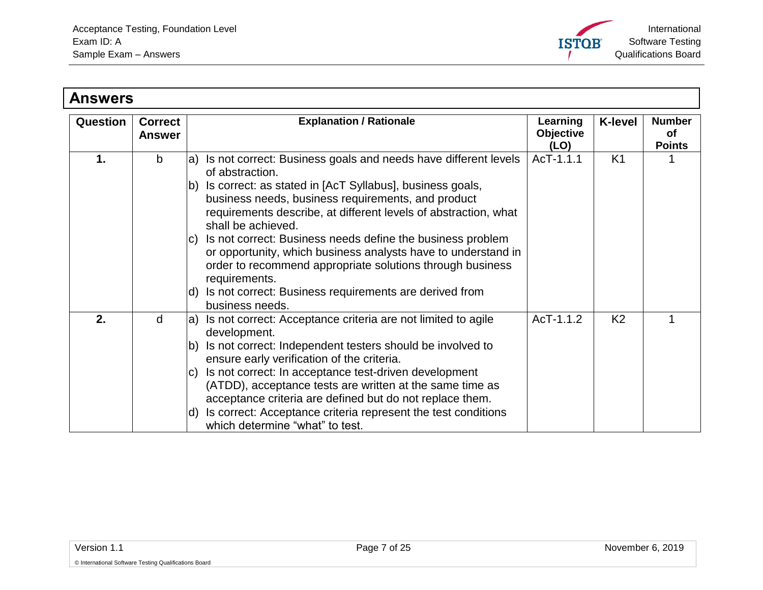

<span id="page-6-2"></span><span id="page-6-1"></span><span id="page-6-0"></span>

| <b>Answers</b> |                                 |                                                                                                                                                                                                                |                                      |                |                                      |
|----------------|---------------------------------|----------------------------------------------------------------------------------------------------------------------------------------------------------------------------------------------------------------|--------------------------------------|----------------|--------------------------------------|
| Question       | <b>Correct</b><br><b>Answer</b> | <b>Explanation / Rationale</b>                                                                                                                                                                                 | Learning<br><b>Objective</b><br>(LO) | <b>K-level</b> | <b>Number</b><br>оf<br><b>Points</b> |
| 1.             | b                               | Is not correct: Business goals and needs have different levels<br>a)<br>of abstraction.                                                                                                                        | AcT-1.1.1                            | K <sub>1</sub> |                                      |
|                |                                 | Is correct: as stated in [AcT Syllabus], business goals,<br>Ib)<br>business needs, business requirements, and product<br>requirements describe, at different levels of abstraction, what<br>shall be achieved. |                                      |                |                                      |
|                |                                 | Is not correct: Business needs define the business problem<br>or opportunity, which business analysts have to understand in<br>order to recommend appropriate solutions through business<br>requirements.      |                                      |                |                                      |
|                |                                 | Is not correct: Business requirements are derived from<br>d)<br>business needs.                                                                                                                                |                                      |                |                                      |
| 2.             | d                               | Is not correct: Acceptance criteria are not limited to agile<br>la)<br>development.                                                                                                                            | AcT-1.1.2                            | K <sub>2</sub> |                                      |
|                |                                 | Is not correct: Independent testers should be involved to<br>b)<br>ensure early verification of the criteria.                                                                                                  |                                      |                |                                      |
|                |                                 | Is not correct: In acceptance test-driven development<br>IC).<br>(ATDD), acceptance tests are written at the same time as<br>acceptance criteria are defined but do not replace them.                          |                                      |                |                                      |
|                |                                 | Is correct: Acceptance criteria represent the test conditions<br>ld)<br>which determine "what" to test.                                                                                                        |                                      |                |                                      |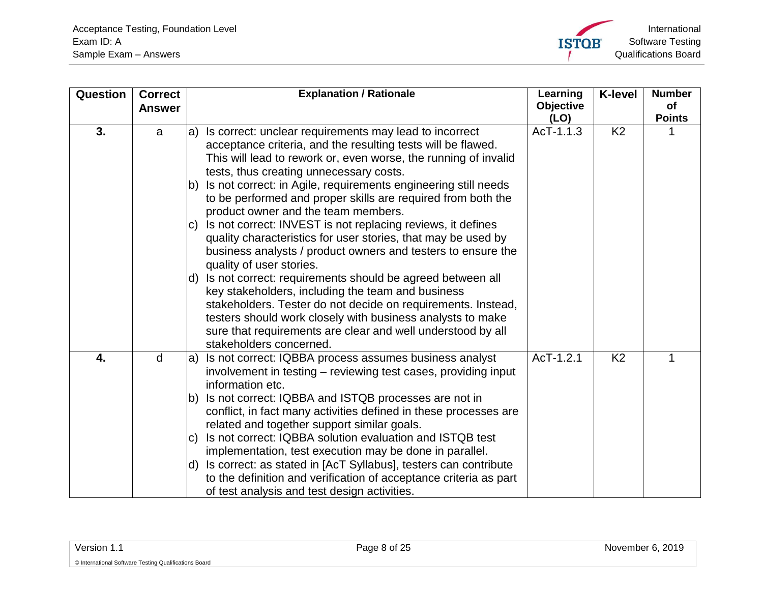<span id="page-7-1"></span><span id="page-7-0"></span>

| Question | <b>Correct</b><br><b>Answer</b> | <b>Explanation / Rationale</b>                                                                                                                                                                                                                                                                                                            | Learning<br><b>Objective</b><br>(LO) | <b>K-level</b> | <b>Number</b><br>of<br><b>Points</b> |
|----------|---------------------------------|-------------------------------------------------------------------------------------------------------------------------------------------------------------------------------------------------------------------------------------------------------------------------------------------------------------------------------------------|--------------------------------------|----------------|--------------------------------------|
| 3.       | a                               | a) Is correct: unclear requirements may lead to incorrect<br>acceptance criteria, and the resulting tests will be flawed.<br>This will lead to rework or, even worse, the running of invalid<br>tests, thus creating unnecessary costs.                                                                                                   | AcT-1.1.3                            | K <sub>2</sub> |                                      |
|          |                                 | Is not correct: in Agile, requirements engineering still needs<br>lb)<br>to be performed and proper skills are required from both the<br>product owner and the team members.                                                                                                                                                              |                                      |                |                                      |
|          |                                 | Is not correct: INVEST is not replacing reviews, it defines<br>C)<br>quality characteristics for user stories, that may be used by<br>business analysts / product owners and testers to ensure the<br>quality of user stories.                                                                                                            |                                      |                |                                      |
|          |                                 | d) Is not correct: requirements should be agreed between all<br>key stakeholders, including the team and business<br>stakeholders. Tester do not decide on requirements. Instead,<br>testers should work closely with business analysts to make<br>sure that requirements are clear and well understood by all<br>stakeholders concerned. |                                      |                |                                      |
| 4.       | d                               | Is not correct: IQBBA process assumes business analyst<br>la)<br>involvement in testing – reviewing test cases, providing input<br>information etc.                                                                                                                                                                                       | AcT-1.2.1                            | K <sub>2</sub> |                                      |
|          |                                 | Is not correct: IQBBA and ISTQB processes are not in<br>Ib)<br>conflict, in fact many activities defined in these processes are<br>related and together support similar goals.                                                                                                                                                            |                                      |                |                                      |
|          |                                 | Is not correct: IQBBA solution evaluation and ISTQB test<br>$\vert$ C)<br>implementation, test execution may be done in parallel.                                                                                                                                                                                                         |                                      |                |                                      |
|          |                                 | d) Is correct: as stated in [AcT Syllabus], testers can contribute<br>to the definition and verification of acceptance criteria as part<br>of test analysis and test design activities.                                                                                                                                                   |                                      |                |                                      |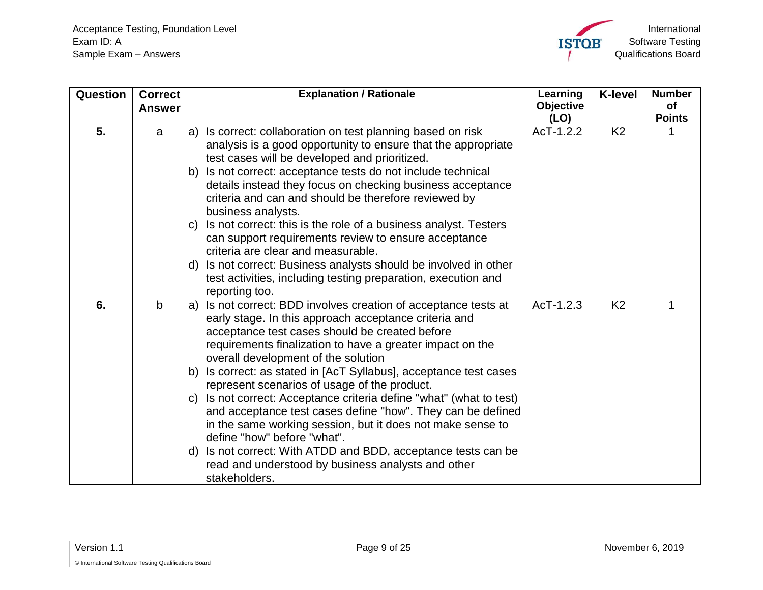<span id="page-8-1"></span><span id="page-8-0"></span>

| Question | <b>Correct</b><br><b>Answer</b> | <b>Explanation / Rationale</b>                                                                                                                                                                                                                                                                                                                                                                                                                                                                                                                                                                                                                                                                                                                                                                                    | Learning<br><b>Objective</b><br>(LO) | <b>K-level</b> | <b>Number</b><br>of<br><b>Points</b> |
|----------|---------------------------------|-------------------------------------------------------------------------------------------------------------------------------------------------------------------------------------------------------------------------------------------------------------------------------------------------------------------------------------------------------------------------------------------------------------------------------------------------------------------------------------------------------------------------------------------------------------------------------------------------------------------------------------------------------------------------------------------------------------------------------------------------------------------------------------------------------------------|--------------------------------------|----------------|--------------------------------------|
| 5.       | a                               | Is correct: collaboration on test planning based on risk<br>la)<br>analysis is a good opportunity to ensure that the appropriate<br>test cases will be developed and prioritized.<br>Is not correct: acceptance tests do not include technical<br>lb)<br>details instead they focus on checking business acceptance<br>criteria and can and should be therefore reviewed by<br>business analysts.<br>Is not correct: this is the role of a business analyst. Testers<br>IC)<br>can support requirements review to ensure acceptance<br>criteria are clear and measurable.<br>Is not correct: Business analysts should be involved in other<br>ld)<br>test activities, including testing preparation, execution and                                                                                                | AcT-1.2.2                            | K <sub>2</sub> |                                      |
| 6.       | $\mathbf b$                     | reporting too.<br>Is not correct: BDD involves creation of acceptance tests at<br>la)<br>early stage. In this approach acceptance criteria and<br>acceptance test cases should be created before<br>requirements finalization to have a greater impact on the<br>overall development of the solution<br>Is correct: as stated in [AcT Syllabus], acceptance test cases<br>lb)<br>represent scenarios of usage of the product.<br>Is not correct: Acceptance criteria define "what" (what to test)<br>IC)<br>and acceptance test cases define "how". They can be defined<br>in the same working session, but it does not make sense to<br>define "how" before "what".<br>Is not correct: With ATDD and BDD, acceptance tests can be<br>ld).<br>read and understood by business analysts and other<br>stakeholders. | $AcT-1.2.3$                          | K <sub>2</sub> |                                      |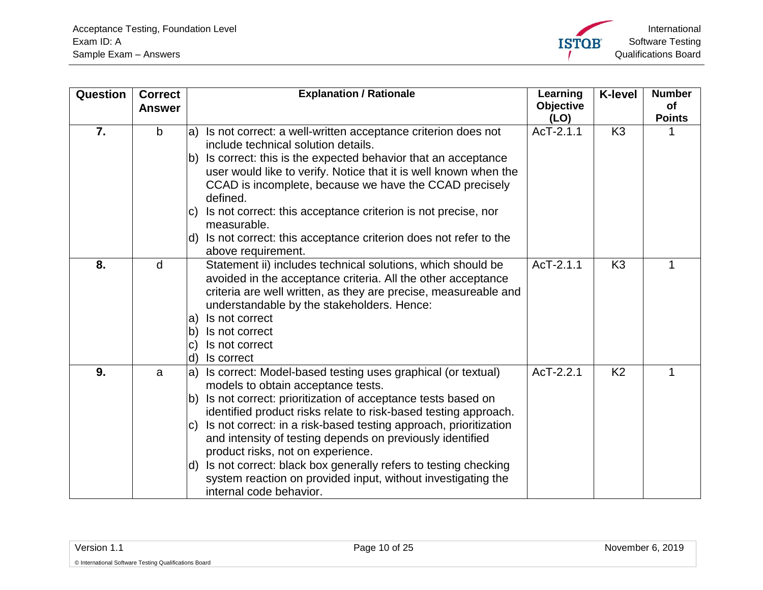<span id="page-9-2"></span><span id="page-9-1"></span><span id="page-9-0"></span>

| Question         | <b>Correct</b><br><b>Answer</b> | <b>Explanation / Rationale</b>                                                                                                                                                                                                                                                                                                                                                                                                                                                                                                                                                                            | Learning<br><b>Objective</b> | <b>K-level</b> | <b>Number</b><br><b>of</b><br><b>Points</b> |
|------------------|---------------------------------|-----------------------------------------------------------------------------------------------------------------------------------------------------------------------------------------------------------------------------------------------------------------------------------------------------------------------------------------------------------------------------------------------------------------------------------------------------------------------------------------------------------------------------------------------------------------------------------------------------------|------------------------------|----------------|---------------------------------------------|
| $\overline{7}$ . | $\mathsf{b}$                    | Is not correct: a well-written acceptance criterion does not<br>la)<br>include technical solution details.<br>Is correct: this is the expected behavior that an acceptance<br>lb)<br>user would like to verify. Notice that it is well known when the<br>CCAD is incomplete, because we have the CCAD precisely<br>defined.<br>Is not correct: this acceptance criterion is not precise, nor<br>IC)<br>measurable.                                                                                                                                                                                        | (LO)<br>AcT-2.1.1            | K <sub>3</sub> |                                             |
|                  |                                 | Is not correct: this acceptance criterion does not refer to the<br>ld).<br>above requirement.                                                                                                                                                                                                                                                                                                                                                                                                                                                                                                             |                              |                |                                             |
| 8.               | d                               | Statement ii) includes technical solutions, which should be<br>avoided in the acceptance criteria. All the other acceptance<br>criteria are well written, as they are precise, measureable and<br>understandable by the stakeholders. Hence:<br>Is not correct<br>la)<br>Is not correct<br>lb)<br>Is not correct<br>$\mathbf{C}$<br>Is correct<br>ld)                                                                                                                                                                                                                                                     | AcT-2.1.1                    | K <sub>3</sub> | 1                                           |
| 9.               | a                               | Is correct: Model-based testing uses graphical (or textual)<br>$ a\rangle$<br>models to obtain acceptance tests.<br>Is not correct: prioritization of acceptance tests based on<br>b)<br>identified product risks relate to risk-based testing approach.<br>Is not correct: in a risk-based testing approach, prioritization<br>IC)<br>and intensity of testing depends on previously identified<br>product risks, not on experience.<br>Is not correct: black box generally refers to testing checking<br>ld)<br>system reaction on provided input, without investigating the<br>internal code behavior. | AcT-2.2.1                    | K <sub>2</sub> |                                             |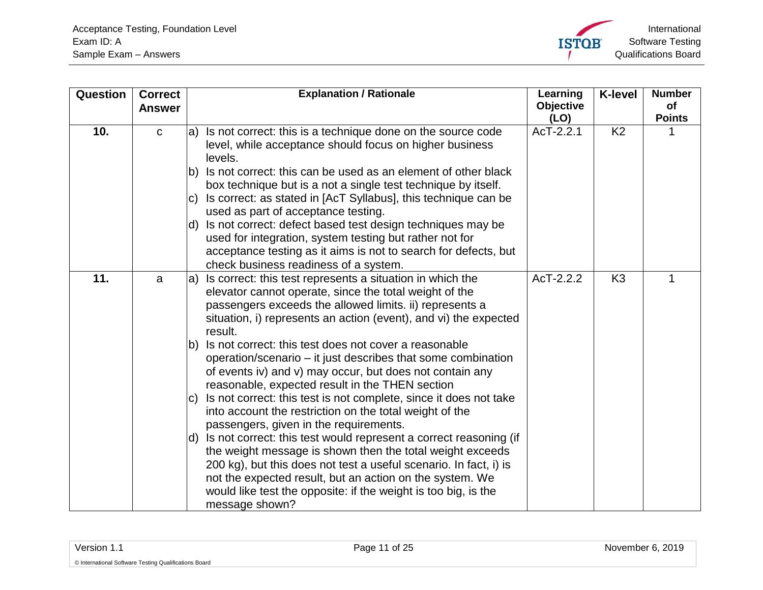<span id="page-10-1"></span><span id="page-10-0"></span>

| Question | <b>Correct</b><br><b>Answer</b> |      | <b>Explanation / Rationale</b>                                                                                                                                                                                                                                                                                                                         | Learning<br><b>Objective</b> | <b>K-level</b> | <b>Number</b><br>of |
|----------|---------------------------------|------|--------------------------------------------------------------------------------------------------------------------------------------------------------------------------------------------------------------------------------------------------------------------------------------------------------------------------------------------------------|------------------------------|----------------|---------------------|
|          |                                 |      |                                                                                                                                                                                                                                                                                                                                                        | (LO)                         |                | <b>Points</b>       |
| 10.      | $\mathbf{C}$                    | la)  | Is not correct: this is a technique done on the source code<br>level, while acceptance should focus on higher business<br>levels.                                                                                                                                                                                                                      | AcT-2.2.1                    | K <sub>2</sub> |                     |
|          |                                 | lb)  | Is not correct: this can be used as an element of other black<br>box technique but is a not a single test technique by itself.                                                                                                                                                                                                                         |                              |                |                     |
|          |                                 | IC)  | Is correct: as stated in [AcT Syllabus], this technique can be<br>used as part of acceptance testing.                                                                                                                                                                                                                                                  |                              |                |                     |
|          |                                 | d)   | Is not correct: defect based test design techniques may be<br>used for integration, system testing but rather not for<br>acceptance testing as it aims is not to search for defects, but<br>check business readiness of a system.                                                                                                                      |                              |                |                     |
| 11.      | a                               | la)  | Is correct: this test represents a situation in which the<br>elevator cannot operate, since the total weight of the<br>passengers exceeds the allowed limits. ii) represents a<br>situation, i) represents an action (event), and vi) the expected<br>result.                                                                                          | AcT-2.2.2                    | K <sub>3</sub> | 1                   |
|          |                                 | lb). | Is not correct: this test does not cover a reasonable<br>operation/scenario – it just describes that some combination<br>of events iv) and v) may occur, but does not contain any<br>reasonable, expected result in the THEN section                                                                                                                   |                              |                |                     |
|          |                                 | IC)  | Is not correct: this test is not complete, since it does not take<br>into account the restriction on the total weight of the<br>passengers, given in the requirements.                                                                                                                                                                                 |                              |                |                     |
|          |                                 |      | d) Is not correct: this test would represent a correct reasoning (if<br>the weight message is shown then the total weight exceeds<br>200 kg), but this does not test a useful scenario. In fact, i) is<br>not the expected result, but an action on the system. We<br>would like test the opposite: if the weight is too big, is the<br>message shown? |                              |                |                     |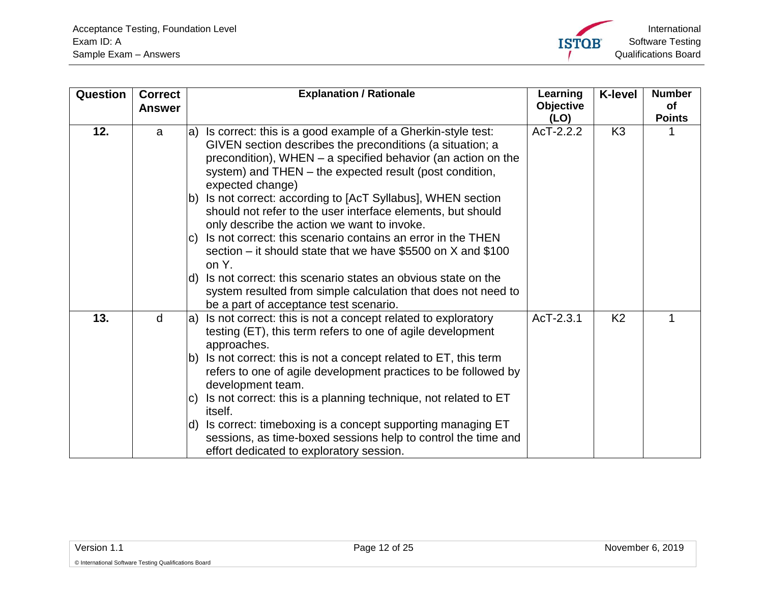<span id="page-11-1"></span><span id="page-11-0"></span>

| Question | <b>Correct</b><br><b>Answer</b> |      | <b>Explanation / Rationale</b>                                                                                                                                                                                                                                               | Learning<br>Objective<br>(LO) | <b>K-level</b> | <b>Number</b><br>οf<br><b>Points</b> |
|----------|---------------------------------|------|------------------------------------------------------------------------------------------------------------------------------------------------------------------------------------------------------------------------------------------------------------------------------|-------------------------------|----------------|--------------------------------------|
| 12.      | a                               |      | a) Is correct: this is a good example of a Gherkin-style test:<br>GIVEN section describes the preconditions (a situation; a<br>precondition), WHEN $-$ a specified behavior (an action on the<br>system) and THEN – the expected result (post condition,<br>expected change) | AcT-2.2.2                     | K <sub>3</sub> |                                      |
|          |                                 | lb)  | Is not correct: according to [AcT Syllabus], WHEN section<br>should not refer to the user interface elements, but should<br>only describe the action we want to invoke.                                                                                                      |                               |                |                                      |
|          |                                 | IC)  | Is not correct: this scenario contains an error in the THEN<br>section – it should state that we have \$5500 on $X$ and \$100<br>on Y.                                                                                                                                       |                               |                |                                      |
|          |                                 | ld)  | Is not correct: this scenario states an obvious state on the<br>system resulted from simple calculation that does not need to<br>be a part of acceptance test scenario.                                                                                                      |                               |                |                                      |
| 13.      | d                               | la)  | Is not correct: this is not a concept related to exploratory<br>testing (ET), this term refers to one of agile development<br>approaches.                                                                                                                                    | AcT-2.3.1                     | K <sub>2</sub> | 1                                    |
|          |                                 | lb). | Is not correct: this is not a concept related to ET, this term<br>refers to one of agile development practices to be followed by<br>development team.                                                                                                                        |                               |                |                                      |
|          |                                 | IC)  | Is not correct: this is a planning technique, not related to ET<br>itself.                                                                                                                                                                                                   |                               |                |                                      |
|          |                                 | ld)  | Is correct: timeboxing is a concept supporting managing ET<br>sessions, as time-boxed sessions help to control the time and<br>effort dedicated to exploratory session.                                                                                                      |                               |                |                                      |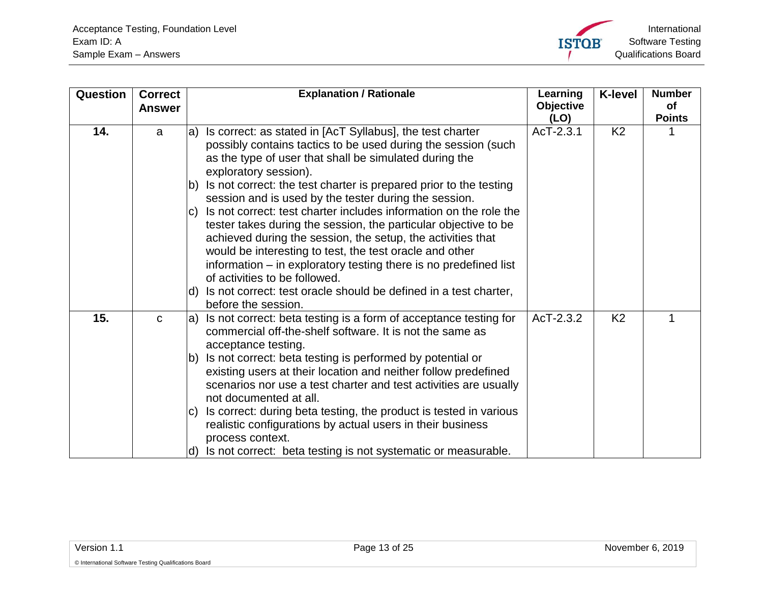<span id="page-12-1"></span><span id="page-12-0"></span>

| Question | <b>Correct</b><br><b>Answer</b> |             | <b>Explanation / Rationale</b>                                                                                                                                                                                                                                                                 | Learning<br><b>Objective</b><br>(LO) | <b>K-level</b> | <b>Number</b><br><b>of</b><br><b>Points</b> |
|----------|---------------------------------|-------------|------------------------------------------------------------------------------------------------------------------------------------------------------------------------------------------------------------------------------------------------------------------------------------------------|--------------------------------------|----------------|---------------------------------------------|
| 14.      | a                               |             | a) Is correct: as stated in [AcT Syllabus], the test charter<br>possibly contains tactics to be used during the session (such<br>as the type of user that shall be simulated during the<br>exploratory session).                                                                               | AcT-2.3.1                            | K <sub>2</sub> |                                             |
|          |                                 | Ib)<br>IC). | Is not correct: the test charter is prepared prior to the testing<br>session and is used by the tester during the session.<br>Is not correct: test charter includes information on the role the                                                                                                |                                      |                |                                             |
|          |                                 |             | tester takes during the session, the particular objective to be<br>achieved during the session, the setup, the activities that<br>would be interesting to test, the test oracle and other<br>information – in exploratory testing there is no predefined list<br>of activities to be followed. |                                      |                |                                             |
|          |                                 |             | d) Is not correct: test oracle should be defined in a test charter,<br>before the session.                                                                                                                                                                                                     |                                      |                |                                             |
| 15.      | $\mathbf C$                     | la)         | Is not correct: beta testing is a form of acceptance testing for<br>commercial off-the-shelf software. It is not the same as<br>acceptance testing.                                                                                                                                            | AcT-2.3.2                            | K <sub>2</sub> | 1                                           |
|          |                                 | lb).        | Is not correct: beta testing is performed by potential or<br>existing users at their location and neither follow predefined<br>scenarios nor use a test charter and test activities are usually<br>not documented at all.                                                                      |                                      |                |                                             |
|          |                                 | IC)         | Is correct: during beta testing, the product is tested in various<br>realistic configurations by actual users in their business<br>process context.                                                                                                                                            |                                      |                |                                             |
|          |                                 | ld)         | Is not correct: beta testing is not systematic or measurable.                                                                                                                                                                                                                                  |                                      |                |                                             |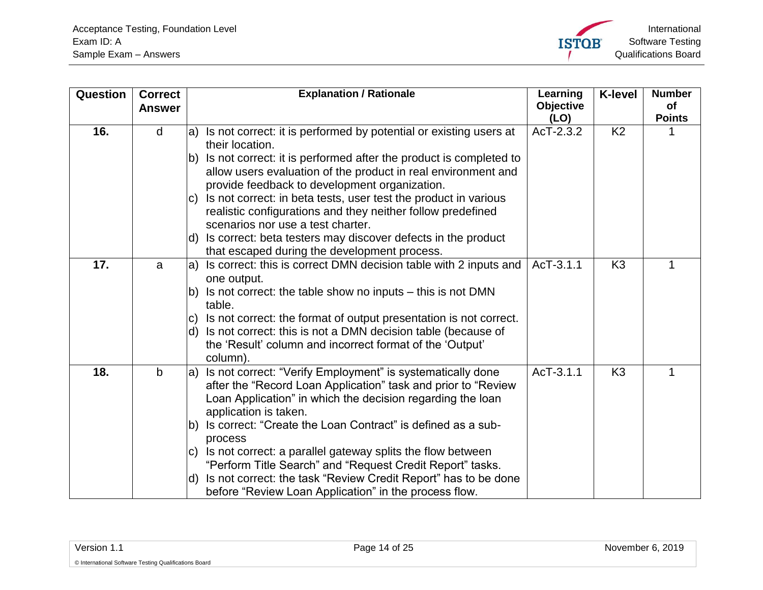

<span id="page-13-2"></span><span id="page-13-1"></span><span id="page-13-0"></span>

| <b>Question</b> | <b>Correct</b><br><b>Answer</b> | <b>Explanation / Rationale</b>                                                                                                                                                                                            | Learning<br><b>Objective</b> | <b>K-level</b> | <b>Number</b><br>of |
|-----------------|---------------------------------|---------------------------------------------------------------------------------------------------------------------------------------------------------------------------------------------------------------------------|------------------------------|----------------|---------------------|
|                 |                                 |                                                                                                                                                                                                                           | (LO)                         |                | <b>Points</b>       |
| 16.             | d                               | a) Is not correct: it is performed by potential or existing users at<br>their location.                                                                                                                                   | AcT-2.3.2                    | K <sub>2</sub> |                     |
|                 |                                 | Is not correct: it is performed after the product is completed to<br>lb)<br>allow users evaluation of the product in real environment and<br>provide feedback to development organization.                                |                              |                |                     |
|                 |                                 | Is not correct: in beta tests, user test the product in various<br>IC)<br>realistic configurations and they neither follow predefined<br>scenarios nor use a test charter.                                                |                              |                |                     |
|                 |                                 | d) Is correct: beta testers may discover defects in the product<br>that escaped during the development process.                                                                                                           |                              |                |                     |
| 17.             | a                               | a) Is correct: this is correct DMN decision table with 2 inputs and<br>one output.                                                                                                                                        | AcT-3.1.1                    | K <sub>3</sub> | 1                   |
|                 |                                 | b) Is not correct: the table show no inputs – this is not DMN<br>table.                                                                                                                                                   |                              |                |                     |
|                 |                                 | Is not correct: the format of output presentation is not correct.<br>C)                                                                                                                                                   |                              |                |                     |
|                 |                                 | d) Is not correct: this is not a DMN decision table (because of<br>the 'Result' column and incorrect format of the 'Output'<br>column).                                                                                   |                              |                |                     |
| 18.             | b                               | Is not correct: "Verify Employment" is systematically done<br>la)<br>after the "Record Loan Application" task and prior to "Review<br>Loan Application" in which the decision regarding the loan<br>application is taken. | AcT-3.1.1                    | K <sub>3</sub> |                     |
|                 |                                 | b) Is correct: "Create the Loan Contract" is defined as a sub-<br>process                                                                                                                                                 |                              |                |                     |
|                 |                                 | Is not correct: a parallel gateway splits the flow between<br>IC)<br>"Perform Title Search" and "Request Credit Report" tasks.                                                                                            |                              |                |                     |
|                 |                                 | Is not correct: the task "Review Credit Report" has to be done<br>ld).<br>before "Review Loan Application" in the process flow.                                                                                           |                              |                |                     |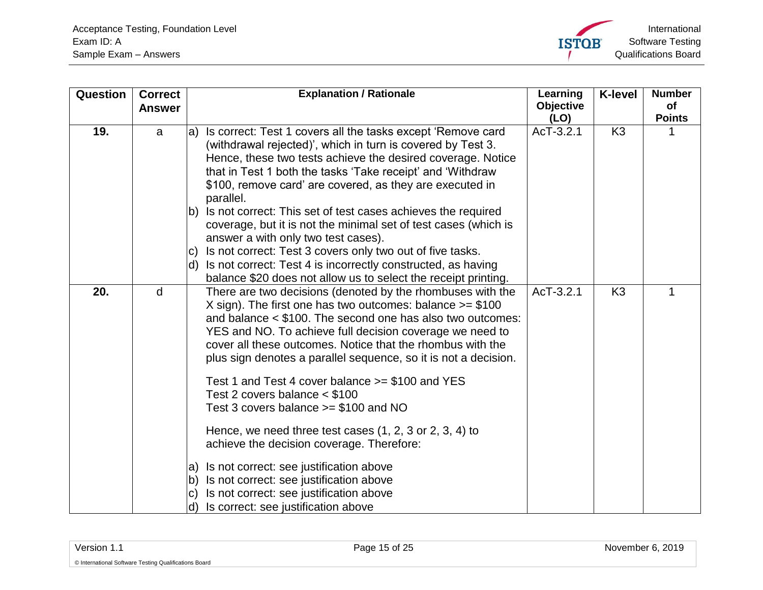<span id="page-14-1"></span><span id="page-14-0"></span>

| Question | <b>Correct</b> |                          | <b>Explanation / Rationale</b>                                                                                                                                                                                                                                                                                                                                                      | Learning          | <b>K-level</b> | <b>Number</b>       |
|----------|----------------|--------------------------|-------------------------------------------------------------------------------------------------------------------------------------------------------------------------------------------------------------------------------------------------------------------------------------------------------------------------------------------------------------------------------------|-------------------|----------------|---------------------|
|          | <b>Answer</b>  |                          |                                                                                                                                                                                                                                                                                                                                                                                     | Objective<br>(LO) |                | of<br><b>Points</b> |
| 19.      | a              | la)                      | Is correct: Test 1 covers all the tasks except 'Remove card<br>(withdrawal rejected)', which in turn is covered by Test 3.<br>Hence, these two tests achieve the desired coverage. Notice<br>that in Test 1 both the tasks 'Take receipt' and 'Withdraw<br>\$100, remove card' are covered, as they are executed in<br>parallel.                                                    | AcT-3.2.1         | K <sub>3</sub> |                     |
|          |                | lb).<br>IC)<br>ld)       | Is not correct: This set of test cases achieves the required<br>coverage, but it is not the minimal set of test cases (which is<br>answer a with only two test cases).<br>Is not correct: Test 3 covers only two out of five tasks.<br>Is not correct: Test 4 is incorrectly constructed, as having<br>balance \$20 does not allow us to select the receipt printing.               |                   |                |                     |
| 20.      | d              |                          | There are two decisions (denoted by the rhombuses with the<br>X sign). The first one has two outcomes: balance $>= $100$<br>and balance < \$100. The second one has also two outcomes:<br>YES and NO. To achieve full decision coverage we need to<br>cover all these outcomes. Notice that the rhombus with the<br>plus sign denotes a parallel sequence, so it is not a decision. | AcT-3.2.1         | K <sub>3</sub> | 1                   |
|          |                |                          | Test 1 and Test 4 cover balance $>= $100$ and YES<br>Test 2 covers balance $<$ \$100<br>Test 3 covers balance $>= $100$ and NO                                                                                                                                                                                                                                                      |                   |                |                     |
|          |                |                          | Hence, we need three test cases $(1, 2, 3 \text{ or } 2, 3, 4)$ to<br>achieve the decision coverage. Therefore:                                                                                                                                                                                                                                                                     |                   |                |                     |
|          |                | la)<br>lb)<br>lc)<br>ld) | Is not correct: see justification above<br>Is not correct: see justification above<br>Is not correct: see justification above<br>Is correct: see justification above                                                                                                                                                                                                                |                   |                |                     |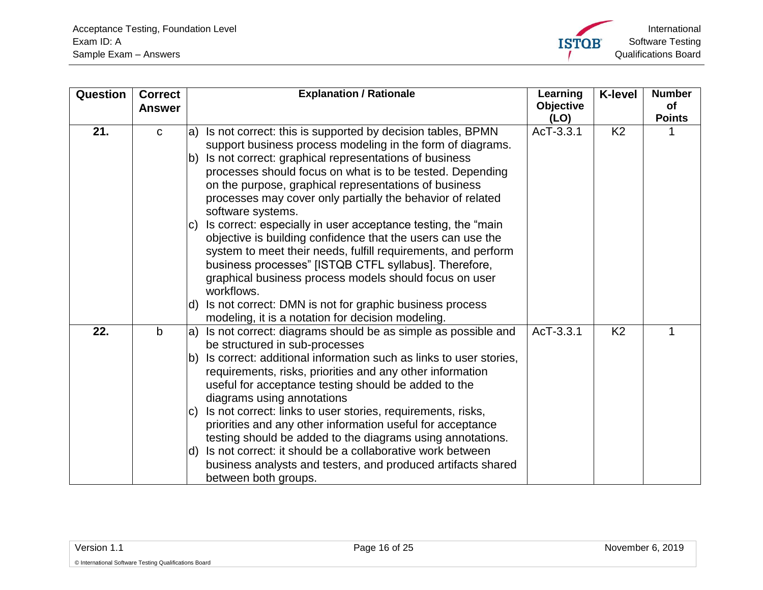<span id="page-15-1"></span><span id="page-15-0"></span>

| Question | <b>Correct</b><br><b>Answer</b> | <b>Explanation / Rationale</b>                                                                                                                                                                                                                                                                                                                                                                                                                                                                                                                                                                                                                                                                     | Learning<br>Objective<br>(LO) | <b>K-level</b> | <b>Number</b><br>of<br><b>Points</b> |
|----------|---------------------------------|----------------------------------------------------------------------------------------------------------------------------------------------------------------------------------------------------------------------------------------------------------------------------------------------------------------------------------------------------------------------------------------------------------------------------------------------------------------------------------------------------------------------------------------------------------------------------------------------------------------------------------------------------------------------------------------------------|-------------------------------|----------------|--------------------------------------|
| 21.      | $\mathbf C$                     | Is not correct: this is supported by decision tables, BPMN<br>la)<br>support business process modeling in the form of diagrams.<br>b) Is not correct: graphical representations of business<br>processes should focus on what is to be tested. Depending<br>on the purpose, graphical representations of business<br>processes may cover only partially the behavior of related<br>software systems.<br>Is correct: especially in user acceptance testing, the "main"<br>IC)<br>objective is building confidence that the users can use the<br>system to meet their needs, fulfill requirements, and perform<br>business processes" [ISTQB CTFL syllabus]. Therefore,                              | AcT-3.3.1                     | K <sub>2</sub> |                                      |
|          |                                 | graphical business process models should focus on user<br>workflows.<br>Is not correct: DMN is not for graphic business process<br>ld)<br>modeling, it is a notation for decision modeling.                                                                                                                                                                                                                                                                                                                                                                                                                                                                                                        |                               |                |                                      |
| 22.      | $\mathbf b$                     | Is not correct: diagrams should be as simple as possible and<br>la)<br>be structured in sub-processes<br>Is correct: additional information such as links to user stories,<br>lb)<br>requirements, risks, priorities and any other information<br>useful for acceptance testing should be added to the<br>diagrams using annotations<br>Is not correct: links to user stories, requirements, risks,<br>IC)<br>priorities and any other information useful for acceptance<br>testing should be added to the diagrams using annotations.<br>Is not correct: it should be a collaborative work between<br>ld)<br>business analysts and testers, and produced artifacts shared<br>between both groups. | AcT-3.3.1                     | K <sub>2</sub> | 1                                    |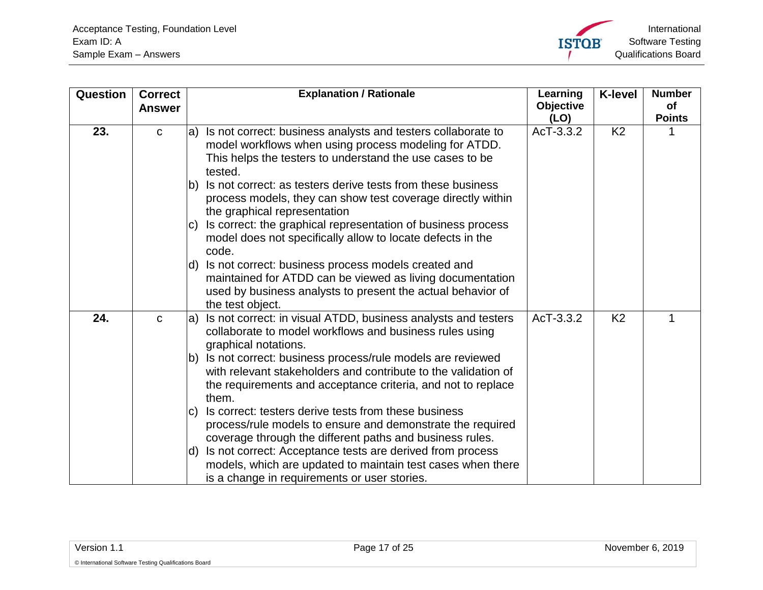<span id="page-16-1"></span><span id="page-16-0"></span>

| Question | <b>Correct</b><br><b>Answer</b> | <b>Explanation / Rationale</b>                                                                                                                                                                                                                                                                                                                                            | Learning<br>Objective<br>(LO) | <b>K-level</b> | <b>Number</b><br>of<br><b>Points</b> |
|----------|---------------------------------|---------------------------------------------------------------------------------------------------------------------------------------------------------------------------------------------------------------------------------------------------------------------------------------------------------------------------------------------------------------------------|-------------------------------|----------------|--------------------------------------|
| 23.      | $\mathbf C$                     | Is not correct: business analysts and testers collaborate to<br>la)<br>model workflows when using process modeling for ATDD.<br>This helps the testers to understand the use cases to be<br>tested.                                                                                                                                                                       | AcT-3.3.2                     | K <sub>2</sub> | 1                                    |
|          |                                 | Is not correct: as testers derive tests from these business<br>lb)<br>process models, they can show test coverage directly within<br>the graphical representation                                                                                                                                                                                                         |                               |                |                                      |
|          |                                 | Is correct: the graphical representation of business process<br>IC)<br>model does not specifically allow to locate defects in the<br>code.                                                                                                                                                                                                                                |                               |                |                                      |
|          |                                 | d) Is not correct: business process models created and<br>maintained for ATDD can be viewed as living documentation<br>used by business analysts to present the actual behavior of<br>the test object.                                                                                                                                                                    |                               |                |                                      |
| 24.      | $\mathbf C$                     | Is not correct: in visual ATDD, business analysts and testers<br>la)<br>collaborate to model workflows and business rules using<br>graphical notations.<br>Is not correct: business process/rule models are reviewed<br>lb)<br>with relevant stakeholders and contribute to the validation of<br>the requirements and acceptance criteria, and not to replace<br>them.    | AcT-3.3.2                     | K <sub>2</sub> | 1                                    |
|          |                                 | Is correct: testers derive tests from these business<br>IC)<br>process/rule models to ensure and demonstrate the required<br>coverage through the different paths and business rules.<br>Is not correct: Acceptance tests are derived from process<br>ld).<br>models, which are updated to maintain test cases when there<br>is a change in requirements or user stories. |                               |                |                                      |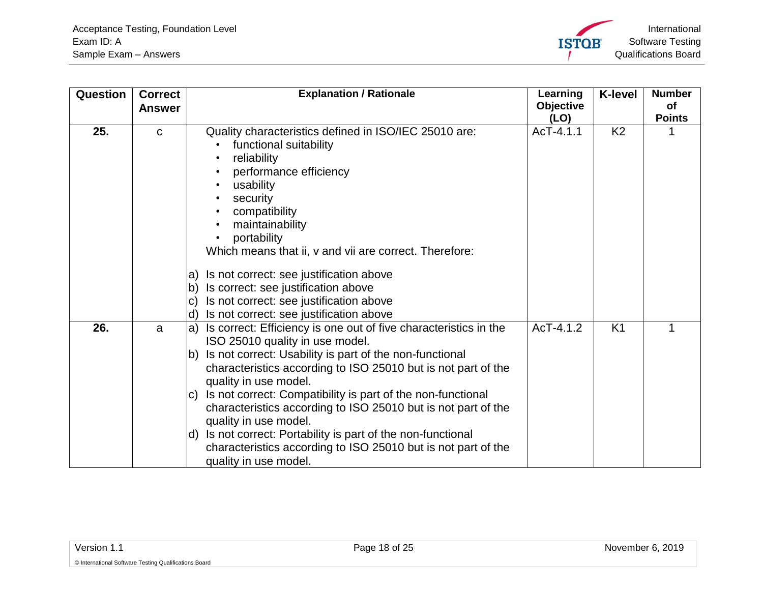International Software Testing **ISTOB** Qualifications Board

<span id="page-17-1"></span><span id="page-17-0"></span>

| Question | <b>Correct</b><br><b>Answer</b> | <b>Explanation / Rationale</b>                                                                                                                                                                                                                                                                                                                                                                                                                                                                                                                                                                              | Learning<br>Objective<br>(LO) | <b>K-level</b> | <b>Number</b><br>of<br><b>Points</b> |
|----------|---------------------------------|-------------------------------------------------------------------------------------------------------------------------------------------------------------------------------------------------------------------------------------------------------------------------------------------------------------------------------------------------------------------------------------------------------------------------------------------------------------------------------------------------------------------------------------------------------------------------------------------------------------|-------------------------------|----------------|--------------------------------------|
| 25.      | $\mathbf C$                     | Quality characteristics defined in ISO/IEC 25010 are:<br>functional suitability<br>reliability<br>performance efficiency<br>usability<br>٠<br>security<br>compatibility<br>maintainability<br>portability<br>٠<br>Which means that ii, v and vii are correct. Therefore:<br>Is not correct: see justification above<br>a)<br>Is correct: see justification above<br> b)<br>Is not correct: see justification above<br>$\vert$ C)<br>Is not correct: see justification above<br>d)                                                                                                                           | AcT-4.1.1                     | K <sub>2</sub> |                                      |
| 26.      | a                               | Is correct: Efficiency is one out of five characteristics in the<br>la)<br>ISO 25010 quality in use model.<br>Is not correct: Usability is part of the non-functional<br>lb)<br>characteristics according to ISO 25010 but is not part of the<br>quality in use model.<br>Is not correct: Compatibility is part of the non-functional<br>$\vert C)$<br>characteristics according to ISO 25010 but is not part of the<br>quality in use model.<br>Is not correct: Portability is part of the non-functional<br>ld)<br>characteristics according to ISO 25010 but is not part of the<br>quality in use model. | AcT-4.1.2                     | K <sub>1</sub> | 1                                    |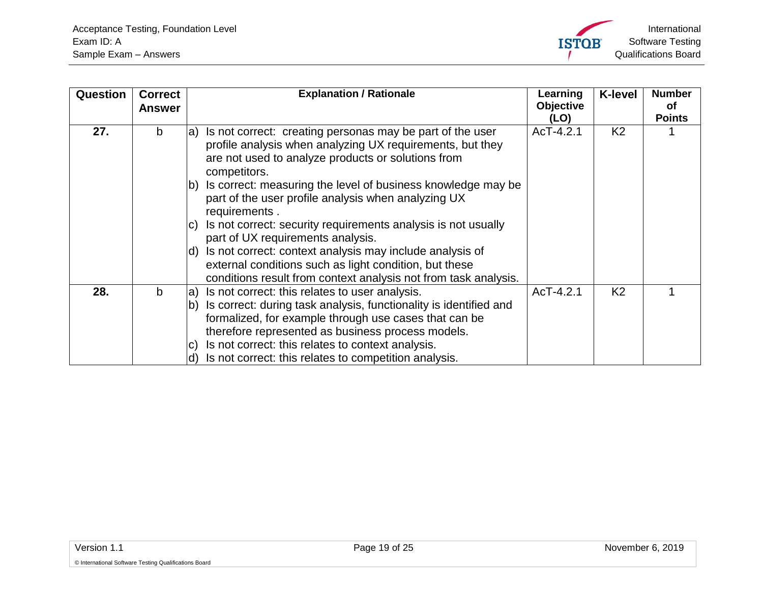<span id="page-18-1"></span><span id="page-18-0"></span>

| Question | <b>Correct</b><br><b>Answer</b> | <b>Explanation / Rationale</b>                                                                                                                                                                                                                                                                                                                                                                                                                                                                                                                                                              | Learning<br><b>Objective</b><br>(LO) | <b>K-level</b> | <b>Number</b><br>Οf<br><b>Points</b> |
|----------|---------------------------------|---------------------------------------------------------------------------------------------------------------------------------------------------------------------------------------------------------------------------------------------------------------------------------------------------------------------------------------------------------------------------------------------------------------------------------------------------------------------------------------------------------------------------------------------------------------------------------------------|--------------------------------------|----------------|--------------------------------------|
| 27.      | b                               | Is not correct: creating personas may be part of the user<br>a)<br>profile analysis when analyzing UX requirements, but they<br>are not used to analyze products or solutions from<br>competitors.<br>Is correct: measuring the level of business knowledge may be<br>lb)<br>part of the user profile analysis when analyzing UX<br>requirements.<br>Is not correct: security requirements analysis is not usually<br>IC)<br>part of UX requirements analysis.<br>Is not correct: context analysis may include analysis of<br>ld)<br>external conditions such as light condition, but these | AcT-4.2.1                            | K <sub>2</sub> |                                      |
| 28.      | b                               | conditions result from context analysis not from task analysis.<br>Is not correct: this relates to user analysis.<br>la)<br>Is correct: during task analysis, functionality is identified and<br>lb)<br>formalized, for example through use cases that can be<br>therefore represented as business process models.<br>Is not correct: this relates to context analysis.<br>IC)<br>Is not correct: this relates to competition analysis.<br>ld)                                                                                                                                              | AcT-4.2.1                            | K <sub>2</sub> |                                      |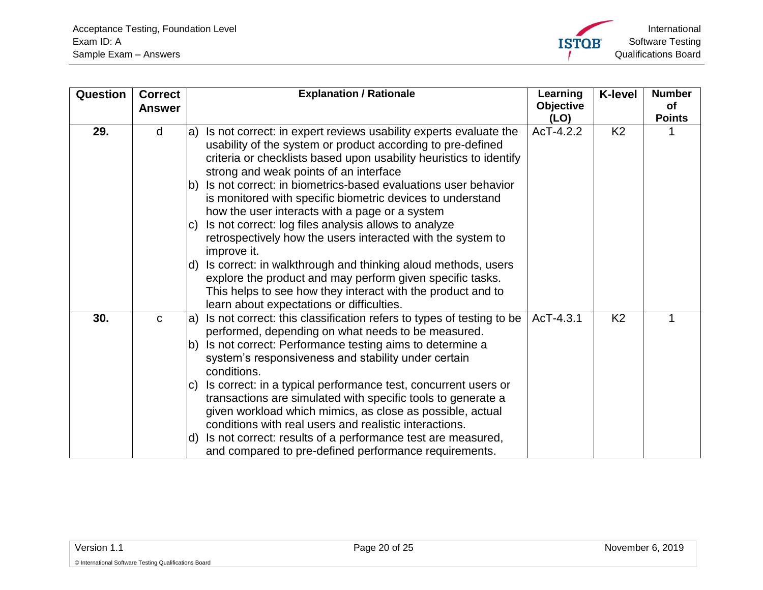

<span id="page-19-1"></span><span id="page-19-0"></span>

| Question | <b>Correct</b><br><b>Answer</b> | <b>Explanation / Rationale</b>                                                                                                                                                                                                                                                                                                | Learning<br><b>Objective</b><br>(LO) | <b>K-level</b> | <b>Number</b><br><b>of</b><br><b>Points</b> |
|----------|---------------------------------|-------------------------------------------------------------------------------------------------------------------------------------------------------------------------------------------------------------------------------------------------------------------------------------------------------------------------------|--------------------------------------|----------------|---------------------------------------------|
| 29.      | d                               | Is not correct: in expert reviews usability experts evaluate the<br>a)<br>usability of the system or product according to pre-defined<br>criteria or checklists based upon usability heuristics to identify<br>strong and weak points of an interface<br>Is not correct: in biometrics-based evaluations user behavior<br>Ib) | AcT-4.2.2                            | K <sub>2</sub> |                                             |
|          |                                 | is monitored with specific biometric devices to understand<br>how the user interacts with a page or a system<br>Is not correct: log files analysis allows to analyze<br>IC)<br>retrospectively how the users interacted with the system to                                                                                    |                                      |                |                                             |
|          |                                 | improve it.<br>Is correct: in walkthrough and thinking aloud methods, users<br>ld)<br>explore the product and may perform given specific tasks.<br>This helps to see how they interact with the product and to<br>learn about expectations or difficulties.                                                                   |                                      |                |                                             |
| 30.      | $\mathbf{C}$                    | Is not correct: this classification refers to types of testing to be<br>la)<br>performed, depending on what needs to be measured.                                                                                                                                                                                             | AcT-4.3.1                            | K <sub>2</sub> | 1                                           |
|          |                                 | Is not correct: Performance testing aims to determine a<br>lb)<br>system's responsiveness and stability under certain<br>conditions.                                                                                                                                                                                          |                                      |                |                                             |
|          |                                 | Is correct: in a typical performance test, concurrent users or<br>IC)<br>transactions are simulated with specific tools to generate a<br>given workload which mimics, as close as possible, actual<br>conditions with real users and realistic interactions.                                                                  |                                      |                |                                             |
|          |                                 | Is not correct: results of a performance test are measured,<br>ld)<br>and compared to pre-defined performance requirements.                                                                                                                                                                                                   |                                      |                |                                             |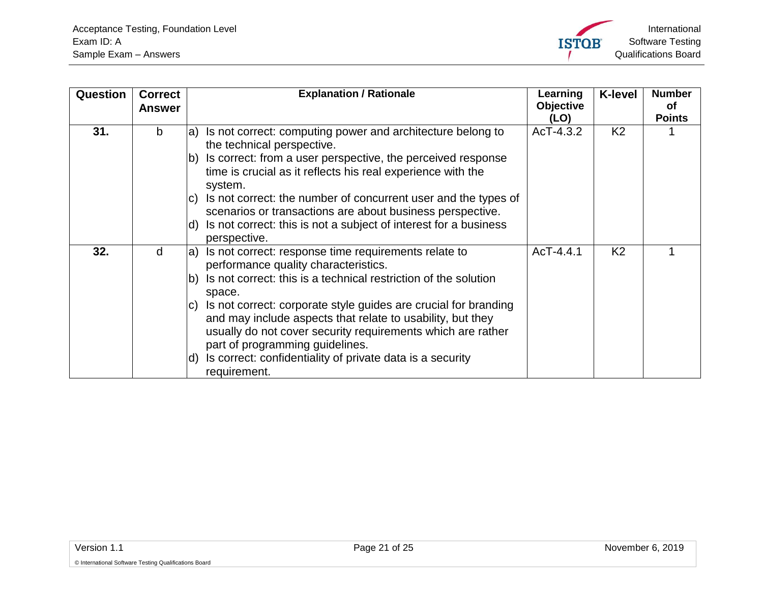International Software Testing **ISTOB** Qualifications Board

<span id="page-20-1"></span><span id="page-20-0"></span>

| Question | <b>Correct</b> | <b>Explanation / Rationale</b>                                                                                                                                                                                                                       | Learning         | <b>K-level</b> | <b>Number</b> |
|----------|----------------|------------------------------------------------------------------------------------------------------------------------------------------------------------------------------------------------------------------------------------------------------|------------------|----------------|---------------|
|          | <b>Answer</b>  |                                                                                                                                                                                                                                                      | <b>Objective</b> |                | οf            |
|          |                |                                                                                                                                                                                                                                                      | (LO)             |                | <b>Points</b> |
| 31.      | b              | Is not correct: computing power and architecture belong to<br>la)<br>the technical perspective.                                                                                                                                                      | AcT-4.3.2        | K <sub>2</sub> |               |
|          |                | Is correct: from a user perspective, the perceived response<br>Ib)<br>time is crucial as it reflects his real experience with the<br>system.                                                                                                         |                  |                |               |
|          |                | Is not correct: the number of concurrent user and the types of<br>IC)<br>scenarios or transactions are about business perspective.                                                                                                                   |                  |                |               |
|          |                | Is not correct: this is not a subject of interest for a business<br>ld)<br>perspective.                                                                                                                                                              |                  |                |               |
| 32.      | d              | Is not correct: response time requirements relate to<br>la)<br>performance quality characteristics.                                                                                                                                                  | AcT-4.4.1        | K <sub>2</sub> |               |
|          |                | Is not correct: this is a technical restriction of the solution<br>lb)<br>space.                                                                                                                                                                     |                  |                |               |
|          |                | Is not correct: corporate style guides are crucial for branding<br>$\vert C \rangle$<br>and may include aspects that relate to usability, but they<br>usually do not cover security requirements which are rather<br>part of programming guidelines. |                  |                |               |
|          |                | Is correct: confidentiality of private data is a security<br>ld)<br>requirement.                                                                                                                                                                     |                  |                |               |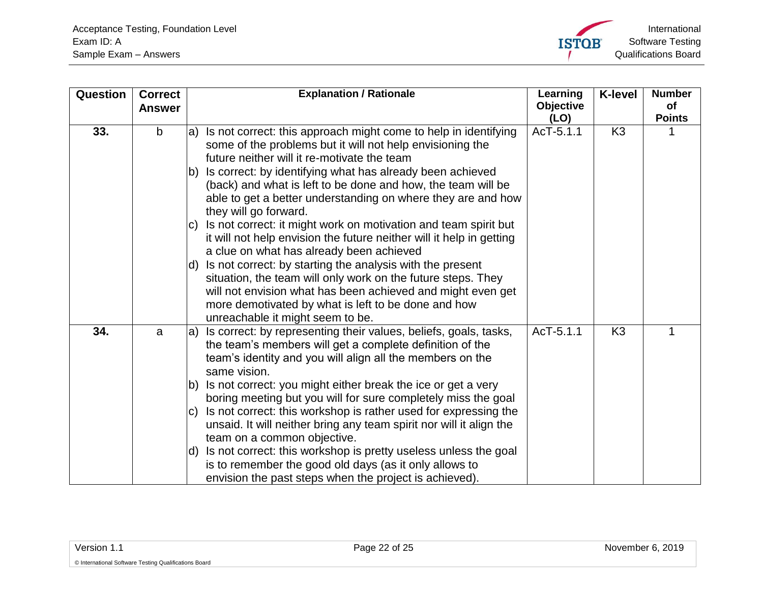

<span id="page-21-1"></span><span id="page-21-0"></span>

| Question | <b>Correct</b><br><b>Answer</b> | <b>Explanation / Rationale</b>                                                                                                                                                                                                                                                                                                                                                                                                                                                                                                                                                                                                                                                                                                                                                                                                                                                                               | Learning<br>Objective<br>(LO) | <b>K-level</b> | <b>Number</b><br>of<br><b>Points</b> |
|----------|---------------------------------|--------------------------------------------------------------------------------------------------------------------------------------------------------------------------------------------------------------------------------------------------------------------------------------------------------------------------------------------------------------------------------------------------------------------------------------------------------------------------------------------------------------------------------------------------------------------------------------------------------------------------------------------------------------------------------------------------------------------------------------------------------------------------------------------------------------------------------------------------------------------------------------------------------------|-------------------------------|----------------|--------------------------------------|
| 33.      | $\mathsf{b}$                    | Is not correct: this approach might come to help in identifying<br>la)<br>some of the problems but it will not help envisioning the<br>future neither will it re-motivate the team<br>Is correct: by identifying what has already been achieved<br>lb)<br>(back) and what is left to be done and how, the team will be<br>able to get a better understanding on where they are and how<br>they will go forward.<br>Is not correct: it might work on motivation and team spirit but<br>IC)<br>it will not help envision the future neither will it help in getting<br>a clue on what has already been achieved<br>Is not correct: by starting the analysis with the present<br>ld).<br>situation, the team will only work on the future steps. They<br>will not envision what has been achieved and might even get<br>more demotivated by what is left to be done and how<br>unreachable it might seem to be. | AcT-5.1.1                     | K <sub>3</sub> |                                      |
| 34.      | a                               | Is correct: by representing their values, beliefs, goals, tasks,<br>la)<br>the team's members will get a complete definition of the<br>team's identity and you will align all the members on the<br>same vision.<br>Is not correct: you might either break the ice or get a very<br>Ib)<br>boring meeting but you will for sure completely miss the goal<br>Is not correct: this workshop is rather used for expressing the<br>IC)<br>unsaid. It will neither bring any team spirit nor will it align the<br>team on a common objective.<br>Is not correct: this workshop is pretty useless unless the goal<br>ld).<br>is to remember the good old days (as it only allows to<br>envision the past steps when the project is achieved).                                                                                                                                                                      | AcT-5.1.1                     | K <sub>3</sub> |                                      |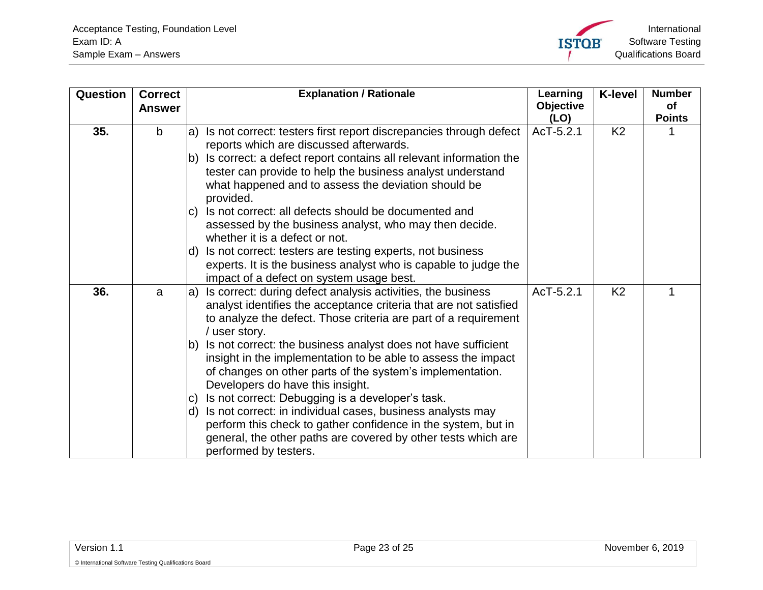<span id="page-22-1"></span><span id="page-22-0"></span>

| Question | <b>Correct</b><br><b>Answer</b> | <b>Explanation / Rationale</b>                                                                                                                                                                                                                                                                                                                                                                                                                                                               | Learning<br><b>Objective</b><br>(LO) | <b>K-level</b> | <b>Number</b><br><b>of</b><br><b>Points</b> |
|----------|---------------------------------|----------------------------------------------------------------------------------------------------------------------------------------------------------------------------------------------------------------------------------------------------------------------------------------------------------------------------------------------------------------------------------------------------------------------------------------------------------------------------------------------|--------------------------------------|----------------|---------------------------------------------|
| 35.      | $\mathbf b$                     | Is not correct: testers first report discrepancies through defect<br>la)<br>reports which are discussed afterwards.<br>Is correct: a defect report contains all relevant information the<br>lb)<br>tester can provide to help the business analyst understand<br>what happened and to assess the deviation should be<br>provided.<br>Is not correct: all defects should be documented and<br>IC)<br>assessed by the business analyst, who may then decide.<br>whether it is a defect or not. | AcT-5.2.1                            | K <sub>2</sub> |                                             |
|          |                                 | Is not correct: testers are testing experts, not business<br>ld)<br>experts. It is the business analyst who is capable to judge the<br>impact of a defect on system usage best.                                                                                                                                                                                                                                                                                                              |                                      |                |                                             |
| 36.      | a                               | Is correct: during defect analysis activities, the business<br>$ a\rangle$<br>analyst identifies the acceptance criteria that are not satisfied<br>to analyze the defect. Those criteria are part of a requirement<br>/ user story.<br>Is not correct: the business analyst does not have sufficient<br>lb)<br>insight in the implementation to be able to assess the impact<br>of changes on other parts of the system's implementation.                                                    | AcT-5.2.1                            | K <sub>2</sub> |                                             |
|          |                                 | Developers do have this insight.<br>Is not correct: Debugging is a developer's task.<br> C <br>d) Is not correct: in individual cases, business analysts may<br>perform this check to gather confidence in the system, but in<br>general, the other paths are covered by other tests which are<br>performed by testers.                                                                                                                                                                      |                                      |                |                                             |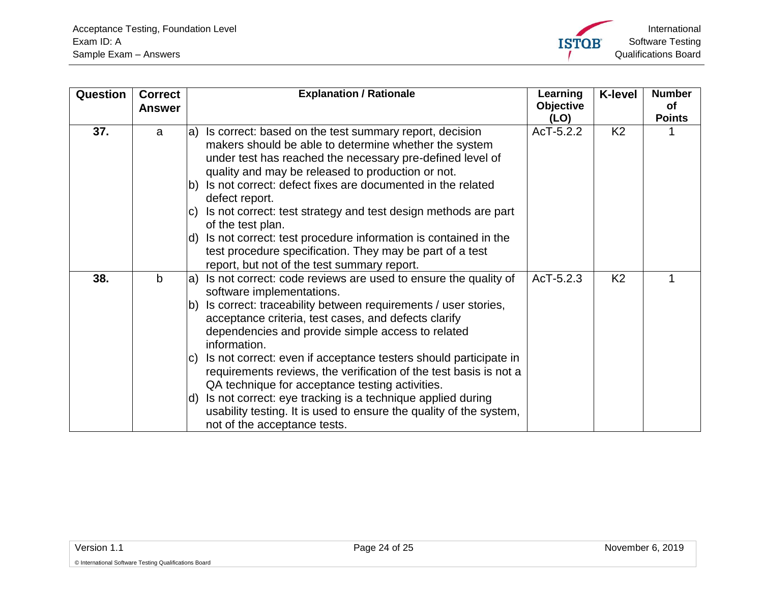<span id="page-23-1"></span><span id="page-23-0"></span>

| Question | <b>Correct</b><br><b>Answer</b> | <b>Explanation / Rationale</b>                                                                                                                                                                                                          | Learning<br><b>Objective</b><br>(LO) | <b>K-level</b> | <b>Number</b><br><b>of</b><br><b>Points</b> |
|----------|---------------------------------|-----------------------------------------------------------------------------------------------------------------------------------------------------------------------------------------------------------------------------------------|--------------------------------------|----------------|---------------------------------------------|
| 37.      | a                               | Is correct: based on the test summary report, decision<br>a)<br>makers should be able to determine whether the system<br>under test has reached the necessary pre-defined level of<br>quality and may be released to production or not. | AcT-5.2.2                            | K <sub>2</sub> |                                             |
|          |                                 | b) Is not correct: defect fixes are documented in the related<br>defect report.                                                                                                                                                         |                                      |                |                                             |
|          |                                 | Is not correct: test strategy and test design methods are part<br>IC)<br>of the test plan.                                                                                                                                              |                                      |                |                                             |
|          |                                 | Is not correct: test procedure information is contained in the<br>d)<br>test procedure specification. They may be part of a test<br>report, but not of the test summary report.                                                         |                                      |                |                                             |
| 38.      | $\mathbf b$                     | a) Is not correct: code reviews are used to ensure the quality of<br>software implementations.                                                                                                                                          | AcT-5.2.3                            | K <sub>2</sub> |                                             |
|          |                                 | Is correct: traceability between requirements / user stories,<br>$\mathsf{b}$<br>acceptance criteria, test cases, and defects clarify<br>dependencies and provide simple access to related<br>information.                              |                                      |                |                                             |
|          |                                 | Is not correct: even if acceptance testers should participate in<br>IC)<br>requirements reviews, the verification of the test basis is not a<br>QA technique for acceptance testing activities.                                         |                                      |                |                                             |
|          |                                 | Is not correct: eye tracking is a technique applied during<br>ld)<br>usability testing. It is used to ensure the quality of the system,<br>not of the acceptance tests.                                                                 |                                      |                |                                             |